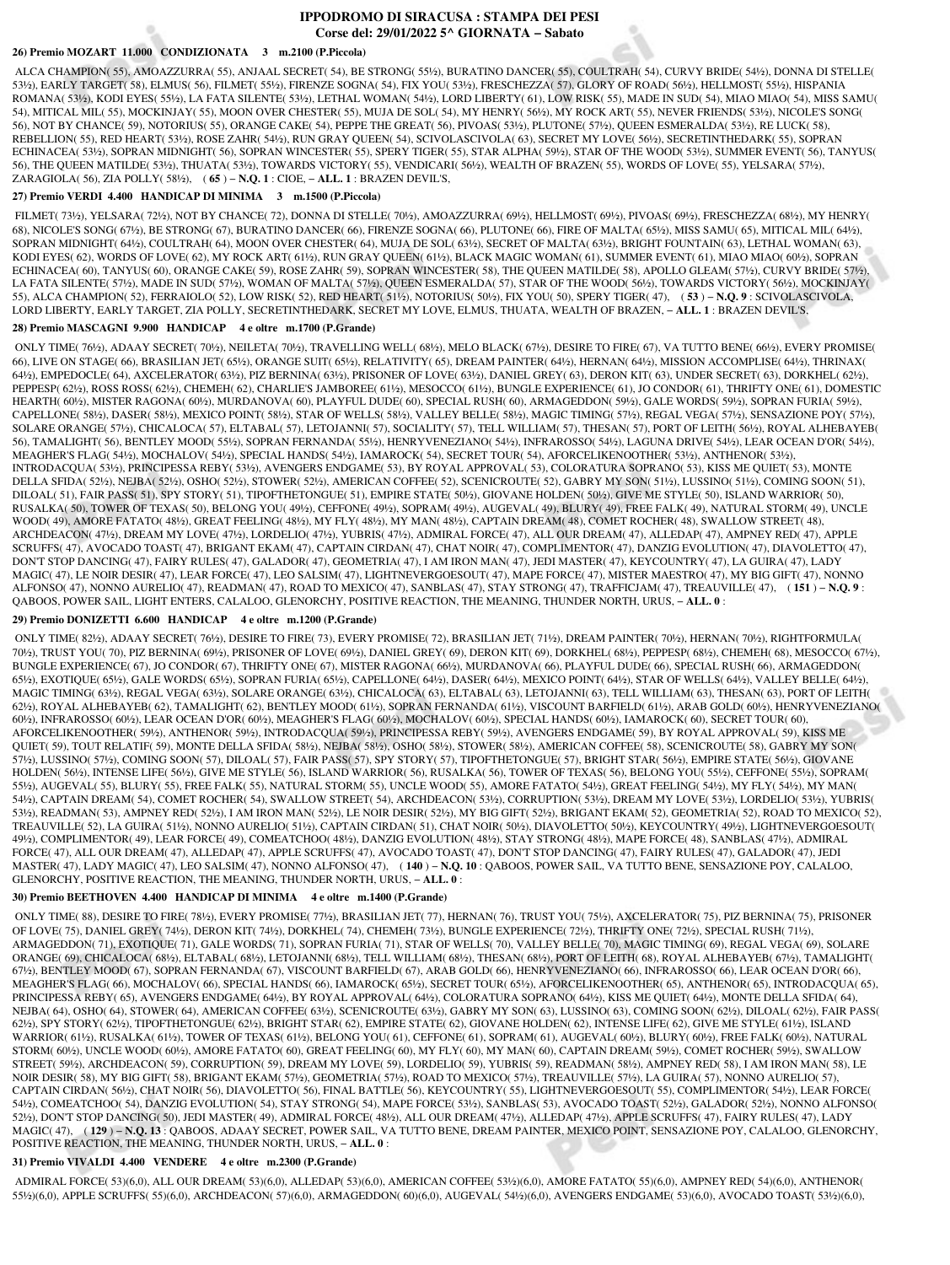# **IPPODROMO DI SIRACUSA : STAMPA DEI PESI Corse del: 29/01/2022 5^ GIORNATA − Sabato**

## **26) Premio MOZART 11.000 CONDIZIONATA 3 m.2100 (P.Piccola)**

 ALCA CHAMPION( 55), AMOAZZURRA( 55), ANJAAL SECRET( 54), BE STRONG( 55½), BURATINO DANCER( 55), COULTRAH( 54), CURVY BRIDE( 54½), DONNA DI STELLE( 53½), EARLY TARGET( 58), ELMUS( 56), FILMET( 55½), FIRENZE SOGNA( 54), FIX YOU( 53½), FRESCHEZZA( 57), GLORY OF ROAD( 56½), HELLMOST( 55½), HISPANIA ROMANA( 53½), KODI EYES( 55½), LA FATA SILENTE( 53½), LETHAL WOMAN( 54½), LORD LIBERTY( 61), LOW RISK( 55), MADE IN SUD( 54), MIAO MIAO( 54), MISS SAMU( 54), MITICAL MIL( 55), MOCKINJAY( 55), MOON OVER CHESTER( 55), MUJA DE SOL( 54), MY HENRY( 56½), MY ROCK ART( 55), NEVER FRIENDS( 53½), NICOLE'S SONG( 56), NOT BY CHANCE( 59), NOTORIUS( 55), ORANGE CAKE( 54), PEPPE THE GREAT( 56), PIVOAS( 53½), PLUTONE( 57½), QUEEN ESMERALDA( 53½), RE LUCK( 58), REBELLION( 55), RED HEART( 53½), ROSE ZAHR( 54½), RUN GRAY QUEEN( 54), SCIVOLASCIVOLA( 63), SECRET MY LOVE( 56½), SECRETINTHEDARK( 55), SOPRAN ECHINACEA( 53½), SOPRAN MIDNIGHT( 56), SOPRAN WINCESTER( 55), SPERY TIGER( 55), STAR ALPHA( 59½), STAR OF THE WOOD( 53½), SUMMER EVENT( 56), TANYUS( 56), THE QUEEN MATILDE( 53½), THUATA( 53½), TOWARDS VICTORY( 55), VENDICARI( 56½), WEALTH OF BRAZEN( 55), WORDS OF LOVE( 55), YELSARA( 57½), ZARAGIOLA( 56), ZIA POLLY( 58½), ( **65** ) − **N.Q. 1** : CIOE, − **ALL. 1** : BRAZEN DEVIL'S,

## **27) Premio VERDI 4.400 HANDICAP DI MINIMA 3 m.1500 (P.Piccola)**

 FILMET( 73½), YELSARA( 72½), NOT BY CHANCE( 72), DONNA DI STELLE( 70½), AMOAZZURRA( 69½), HELLMOST( 69½), PIVOAS( 69½), FRESCHEZZA( 68½), MY HENRY( 68), NICOLE'S SONG( 67½), BE STRONG( 67), BURATINO DANCER( 66), FIRENZE SOGNA( 66), PLUTONE( 66), FIRE OF MALTA( 65½), MISS SAMU( 65), MITICAL MIL( 64½), SOPRAN MIDNIGHT( 64½), COULTRAH( 64), MOON OVER CHESTER( 64), MUJA DE SOL( 63½), SECRET OF MALTA( 63½), BRIGHT FOUNTAIN( 63), LETHAL WOMAN( 63), KODI EYES( 62), WORDS OF LOVE( 62), MY ROCK ART( 61½), RUN GRAY QUEEN( 61½), BLACK MAGIC WOMAN( 61), SUMMER EVENT( 61), MIAO MIAO( 60½), SOPRAN ECHINACEA( 60), TANYUS( 60), ORANGE CAKE( 59), ROSE ZAHR( 59), SOPRAN WINCESTER( 58), THE QUEEN MATILDE( 58), APOLLO GLEAM( 57½), CURVY BRIDE( 57½), LA FATA SILENTE( 57½), MADE IN SUD( 57½), WOMAN OF MALTA( 57½), QUEEN ESMERALDA( 57), STAR OF THE WOOD( 56½), TOWARDS VICTORY( 56½), MOCKINJAY( 55), ALCA CHAMPION( 52), FERRAIOLO( 52), LOW RISK( 52), RED HEART( 51½), NOTORIUS( 50½), FIX YOU( 50), SPERY TIGER( 47), ( **53** ) − **N.Q. 9** : SCIVOLASCIVOLA, LORD LIBERTY, EARLY TARGET, ZIA POLLY, SECRETINTHEDARK, SECRET MY LOVE, ELMUS, THUATA, WEALTH OF BRAZEN, − **ALL. 1** : BRAZEN DEVIL'S,

#### **28) Premio MASCAGNI 9.900 HANDICAP 4 e oltre m.1700 (P.Grande)**

 ONLY TIME( 76½), ADAAY SECRET( 70½), NEILETA( 70½), TRAVELLING WELL( 68½), MELO BLACK( 67½), DESIRE TO FIRE( 67), VA TUTTO BENE( 66½), EVERY PROMISE( 66), LIVE ON STAGE( 66), BRASILIAN JET( 65½), ORANGE SUIT( 65½), RELATIVITY( 65), DREAM PAINTER( 64½), HERNAN( 64½), MISSION ACCOMPLISE( 64½), THRINAX( 64½), EMPEDOCLE( 64), AXCELERATOR( 63½), PIZ BERNINA( 63½), PRISONER OF LOVE( 63½), DANIEL GREY( 63), DERON KIT( 63), UNDER SECRET( 63), DORKHEL( 62½), PEPPESP( 62½), ROSS ROSS( 62½), CHEMEH( 62), CHARLIE'S JAMBOREE( 61½), MESOCCO( 61½), BUNGLE EXPERIENCE( 61), JO CONDOR( 61), THRIFTY ONE( 61), DOMESTIC HEARTH( 60½), MISTER RAGONA( 60½), MURDANOVA( 60), PLAYFUL DUDE( 60), SPECIAL RUSH( 60), ARMAGEDDON( 59½), GALE WORDS( 59½), SOPRAN FURIA( 59½), CAPELLONE( 58½), DASER( 58½), MEXICO POINT( 58½), STAR OF WELLS( 58½), VALLEY BELLE( 58½), MAGIC TIMING( 57½), REGAL VEGA( 57½), SENSAZIONE POY( 57½), SOLARE ORANGE( 571/2), CHICALOCA( 57), ELTABAL( 57), LETOJANNI( 57), SOCIALITY( 57), TELL WILLIAM( 57), THESAN( 57), PORT OF LEITH( 561/2), ROYAL ALHEBAYEB( 56), TAMALIGHT( 56), BENTLEY MOOD( 55½), SOPRAN FERNANDA( 55½), HENRYVENEZIANO( 54½), INFRAROSSO( 54½), LAGUNA DRIVE( 54½), LEAR OCEAN D'OR( 54½), MEAGHER'S FLAG( 54½), MOCHALOV( 54½), SPECIAL HANDS( 54½), IAMAROCK( 54), SECRET TOUR( 54), AFORCELIKENOOTHER( 53½), ANTHENOR( 53½), INTRODACQUA( 53½), PRINCIPESSA REBY( 53½), AVENGERS ENDGAME( 53), BY ROYAL APPROVAL( 53), COLORATURA SOPRANO( 53), KISS ME QUIET( 53), MONTE DELLA SFIDA( 52½), NEJBA( 52½), OSHO( 52½), STOWER( 52½), AMERICAN COFFEE( 52), SCENICROUTE( 52), GABRY MY SON( 51½), LUSSINO( 51½), COMING SOON( 51), DILOAL( 51), FAIR PASS( 51), SPY STORY( 51), TIPOFTHETONGUE( 51), EMPIRE STATE( 50½), GIOVANE HOLDEN( 50½), GIVE ME STYLE( 50), ISLAND WARRIOR( 50), RUSALKA( 50), TOWER OF TEXAS( 50), BELONG YOU( 49½), CEFFONE( 49½), SOPRAM( 49½), AUGEVAL( 49), BLURY( 49), FREE FALK( 49), NATURAL STORM( 49), UNCLE WOOD( 49), AMORE FATATO( 48½), GREAT FEELING( 48½), MY FLY( 48½), MY MAN( 48½), CAPTAIN DREAM( 48), COMET ROCHER( 48), SWALLOW STREET( 48), ARCHDEACON( 47½), DREAM MY LOVE( 47½), LORDELIO( 47½), YUBRIS( 47½), ADMIRAL FORCE( 47), ALL OUR DREAM( 47), ALLEDAP( 47), AMPNEY RED( 47), APPLE SCRUFFS( 47), AVOCADO TOAST( 47), BRIGANT EKAM( 47), CAPTAIN CIRDAN( 47), CHAT NOIR( 47), COMPLIMENTOR( 47), DANZIG EVOLUTION( 47), DIAVOLETTO( 47), DON'T STOP DANCING( 47), FAIRY RULES( 47), GALADOR( 47), GEOMETRIA( 47), I AM IRON MAN( 47), JEDI MASTER( 47), KEYCOUNTRY( 47), LA GUIRA( 47), LADY MAGIC( 47), LE NOIR DESIR( 47), LEAR FORCE( 47), LEO SALSIM( 47), LIGHTNEVERGOESOUT( 47), MAPE FORCE( 47), MISTER MAESTRO( 47), MY BIG GIFT( 47), NONNO ALFONSO( 47), NONNO AURELIO( 47), READMAN( 47), ROAD TO MEXICO( 47), SANBLAS( 47), STAY STRONG( 47), TRAFFICJAM( 47), TREAUVILLE( 47), ( **151** ) − **N.Q. 9** : QABOOS, POWER SAIL, LIGHT ENTERS, CALALOO, GLENORCHY, POSITIVE REACTION, THE MEANING, THUNDER NORTH, URUS, − **ALL. 0** :

#### **29) Premio DONIZETTI 6.600 HANDICAP 4 e oltre m.1200 (P.Grande)**

 ONLY TIME( 82½), ADAAY SECRET( 76½), DESIRE TO FIRE( 73), EVERY PROMISE( 72), BRASILIAN JET( 71½), DREAM PAINTER( 70½), HERNAN( 70½), RIGHTFORMULA( 70½), TRUST YOU( 70), PIZ BERNINA( 69½), PRISONER OF LOVE( 69½), DANIEL GREY( 69), DERON KIT( 69), DORKHEL( 68½), PEPPESP( 68½), CHEMEH( 68), MESOCCO( 67½), BUNGLE EXPERIENCE( 67), JO CONDOR( 67), THRIFTY ONE( 67), MISTER RAGONA( 66½), MURDANOVA( 66), PLAYFUL DUDE( 66), SPECIAL RUSH( 66), ARMAGEDDON( 65½), EXOTIQUE( 65½), GALE WORDS( 65½), SOPRAN FURIA( 65½), CAPELLONE( 64½), DASER( 64½), MEXICO POINT( 64½), STAR OF WELLS( 64½), VALLEY BELLE( 64½), MAGIC TIMING( 63½), REGAL VEGA( 63½), SOLARE ORANGE( 63½), CHICALOCA( 63), ELTABAL( 63), LETOJANNI( 63), TELL WILLIAM( 63), THESAN( 63), PORT OF LEITH( 62½), ROYAL ALHEBAYEB( 62), TAMALIGHT( 62), BENTLEY MOOD( 61½), SOPRAN FERNANDA( 61½), VISCOUNT BARFIELD( 61½), ARAB GOLD( 60½), HENRYVENEZIANO( 60½), INFRAROSSO( 60½), LEAR OCEAN D'OR( 60½), MEAGHER'S FLAG( 60½), MOCHALOV( 60½), SPECIAL HANDS( 60½), IAMAROCK( 60), SECRET TOUR( 60), AFORCELIKENOOTHER( 59½), ANTHENOR( 59½), INTRODACQUA( 59½), PRINCIPESSA REBY( 59½), AVENGERS ENDGAME( 59), BY ROYAL APPROVAL( 59), KISS ME QUIET( 59), TOUT RELATIF( 59), MONTE DELLA SFIDA( 58½), NEJBA( 58½), OSHO( 58½), STOWER( 58½), AMERICAN COFFEE( 58), SCENICROUTE( 58), GABRY MY SON( 57½), LUSSINO( 57½), COMING SOON( 57), DILOAL( 57), FAIR PASS( 57), SPY STORY( 57), TIPOFTHETONGUE( 57), BRIGHT STAR( 56½), EMPIRE STATE( 56½), GIOVANE HOLDEN( 56½), INTENSE LIFE( 56½), GIVE ME STYLE( 56), ISLAND WARRIOR( 56), RUSALKA( 56), TOWER OF TEXAS( 56), BELONG YOU( 55½), CEFFONE( 55½), SOPRAM( 55½), AUGEVAL( 55), BLURY( 55), FREE FALK( 55), NATURAL STORM( 55), UNCLE WOOD( 55), AMORE FATATO( 54½), GREAT FEELING( 54½), MY FLY( 54½), MY MAN( 54½), CAPTAIN DREAM( 54), COMET ROCHER( 54), SWALLOW STREET( 54), ARCHDEACON( 53½), CORRUPTION( 53½), DREAM MY LOVE( 53½), LORDELIO( 53½), YUBRIS( 53½), READMAN( 53), AMPNEY RED( 52½), I AM IRON MAN( 52½), LE NOIR DESIR( 52½), MY BIG GIFT( 52½), BRIGANT EKAM( 52), GEOMETRIA( 52), ROAD TO MEXICO( 52), TREAUVILLE( 52), LA GUIRA( 51½), NONNO AURELIO( 51½), CAPTAIN CIRDAN( 51), CHAT NOIR( 50½), DIAVOLETTO( 50½), KEYCOUNTRY( 49½), LIGHTNEVERGOESOUT( 49½), COMPLIMENTOR( 49), LEAR FORCE( 49), COMEATCHOO( 48½), DANZIG EVOLUTION( 48½), STAY STRONG( 48½), MAPE FORCE( 48), SANBLAS( 47½), ADMIRAL FORCE( 47), ALL OUR DREAM( 47), ALLEDAP( 47), APPLE SCRUFFS( 47), AVOCADO TOAST( 47), DON'T STOP DANCING( 47), FAIRY RULES( 47), GALADOR( 47), JEDI MASTER( 47), LADY MAGIC( 47), LEO SALSIM( 47), NONNO ALFONSO( 47), ( **140** ) − **N.Q. 10** : QABOOS, POWER SAIL, VA TUTTO BENE, SENSAZIONE POY, CALALOO, GLENORCHY, POSITIVE REACTION, THE MEANING, THUNDER NORTH, URUS, − **ALL. 0** :

### **30) Premio BEETHOVEN 4.400 HANDICAP DI MINIMA 4 e oltre m.1400 (P.Grande)**

 ONLY TIME( 88), DESIRE TO FIRE( 78½), EVERY PROMISE( 77½), BRASILIAN JET( 77), HERNAN( 76), TRUST YOU( 75½), AXCELERATOR( 75), PIZ BERNINA( 75), PRISONER OF LOVE( 75), DANIEL GREY( 74½), DERON KIT( 74½), DORKHEL( 74), CHEMEH( 73½), BUNGLE EXPERIENCE( 72½), THRIFTY ONE( 72½), SPECIAL RUSH( 71½), ARMAGEDDON( 71), EXOTIQUE( 71), GALE WORDS( 71), SOPRAN FURIA( 71), STAR OF WELLS( 70), VALLEY BELLE( 70), MAGIC TIMING( 69), REGAL VEGA( 69), SOLARE ORANGE( 69), CHICALOCA( 68½), ELTABAL( 68½), LETOJANNI( 68½), TELL WILLIAM( 68½), THESAN( 68½), PORT OF LEITH( 68), ROYAL ALHEBAYEB( 67½), TAMALIGHT( 67½), BENTLEY MOOD( 67), SOPRAN FERNANDA( 67), VISCOUNT BARFIELD( 67), ARAB GOLD( 66), HENRYVENEZIANO( 66), INFRAROSSO( 66), LEAR OCEAN D'OR( 66), MEAGHER'S FLAG( 66), MOCHALOV( 66), SPECIAL HANDS( 66), IAMAROCK( 65½), SECRET TOUR( 65½), AFORCELIKENOOTHER( 65), ANTHENOR( 65), INTRODACQUA( 65), PRINCIPESSA REBY( 65), AVENGERS ENDGAME( 64½), BY ROYAL APPROVAL( 64½), COLORATURA SOPRANO( 64½), KISS ME QUIET( 64½), MONTE DELLA SFIDA( 64), NEJBA( 64), OSHO( 64), STOWER( 64), AMERICAN COFFEE( 63½), SCENICROUTE( 63½), GABRY MY SON( 63), LUSSINO( 63), COMING SOON( 62½), DILOAL( 62½), FAIR PASS( 62½), SPY STORY( 62½), TIPOFTHETONGUE( 62½), BRIGHT STAR( 62), EMPIRE STATE( 62), GIOVANE HOLDEN( 62), INTENSE LIFE( 62), GIVE ME STYLE( 61½), ISLAND WARRIOR( 61½), RUSALKA( 61½), TOWER OF TEXAS( 61½), BELONG YOU( 61), CEFFONE( 61), SOPRAM( 61), AUGEVAL( 60½), BLURY( 60½), FREE FALK( 60½), NATURAL STORM( 60½), UNCLE WOOD( 60½), AMORE FATATO( 60), GREAT FEELING( 60), MY FLY( 60), MY MAN( 60), CAPTAIN DREAM( 59½), COMET ROCHER( 59½), SWALLOW STREET( 59½), ARCHDEACON( 59), CORRUPTION( 59), DREAM MY LOVE( 59), LORDELIO( 59), YUBRIS( 59), READMAN( 58½), AMPNEY RED( 58), I AM IRON MAN( 58), LE NOIR DESIR( 58), MY BIG GIFT( 58), BRIGANT EKAM( 57½), GEOMETRIA( 57½), ROAD TO MEXICO( 57½), TREAUVILLE( 57½), LA GUIRA( 57), NONNO AURELIO( 57), CAPTAIN CIRDAN( 56½), CHAT NOIR( 56), DIAVOLETTO( 56), FINAL BATTLE( 56), KEYCOUNTRY( 55), LIGHTNEVERGOESOUT( 55), COMPLIMENTOR( 54½), LEAR FORCE( 54½), COMEATCHOO( 54), DANZIG EVOLUTION( 54), STAY STRONG( 54), MAPE FORCE( 53½), SANBLAS( 53), AVOCADO TOAST( 52½), GALADOR( 52½), NONNO ALFONSO( 52½), DON'T STOP DANCING( 50), JEDI MASTER( 49), ADMIRAL FORCE( 48½), ALL OUR DREAM( 47½), ALLEDAP( 47½), APPLE SCRUFFS( 47), FAIRY RULES( 47), LADY MAGIC( 47), ( **129** ) − **N.Q. 13** : QABOOS, ADAAY SECRET, POWER SAIL, VA TUTTO BENE, DREAM PAINTER, MEXICO POINT, SENSAZIONE POY, CALALOO, GLENORCHY, POSITIVE REACTION, THE MEANING, THUNDER NORTH, URUS, − **ALL. 0** :

### **31) Premio VIVALDI 4.400 VENDERE 4 e oltre m.2300 (P.Grande)**

 ADMIRAL FORCE( 53)(6,0), ALL OUR DREAM( 53)(6,0), ALLEDAP( 53)(6,0), AMERICAN COFFEE( 53½)(6,0), AMORE FATATO( 55)(6,0), AMPNEY RED( 54)(6,0), ANTHENOR( 55½)(6,0), APPLE SCRUFFS( 55)(6,0), ARCHDEACON( 57)(6,0), ARMAGEDDON( 60)(6,0), AUGEVAL( 54½)(6,0), AVENGERS ENDGAME( 53)(6,0), AVOCADO TOAST( 53½)(6,0),